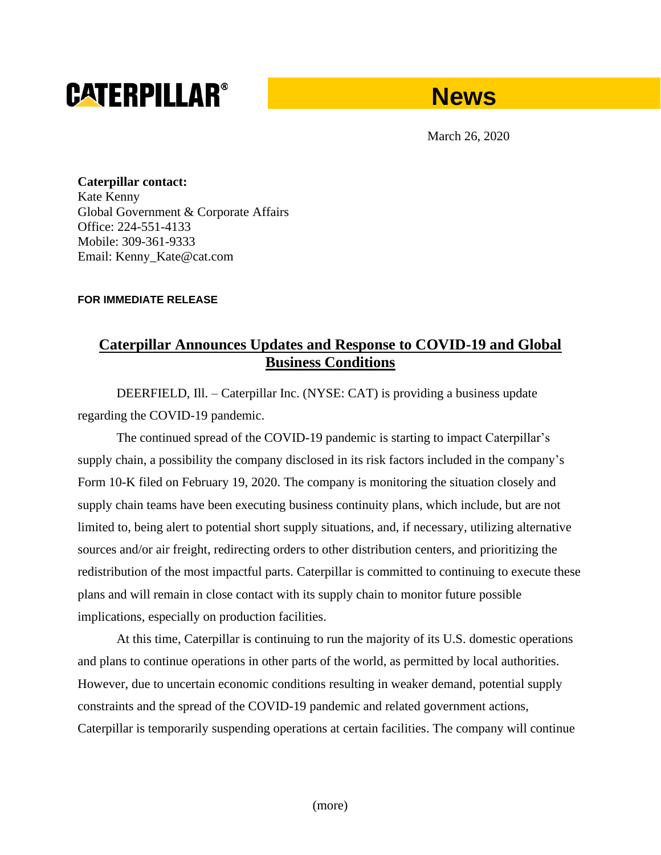# **CATERPILLAR®**

# **News**

March 26, 2020

**Caterpillar contact:** Kate Kenny Global Government & Corporate Affairs Office: 224-551-4133 Mobile: 309-361-9333 Email: Kenny\_Kate@cat.com

## **FOR IMMEDIATE RELEASE**

# **Caterpillar Announces Updates and Response to COVID-19 and Global Business Conditions**

DEERFIELD, Ill. – Caterpillar Inc. (NYSE: CAT) is providing a business update regarding the COVID-19 pandemic.

The continued spread of the COVID-19 pandemic is starting to impact Caterpillar's supply chain, a possibility the company disclosed in its risk factors included in the company's Form 10-K filed on February 19, 2020. The company is monitoring the situation closely and supply chain teams have been executing business continuity plans, which include, but are not limited to, being alert to potential short supply situations, and, if necessary, utilizing alternative sources and/or air freight, redirecting orders to other distribution centers, and prioritizing the redistribution of the most impactful parts. Caterpillar is committed to continuing to execute these plans and will remain in close contact with its supply chain to monitor future possible implications, especially on production facilities.

At this time, Caterpillar is continuing to run the majority of its U.S. domestic operations and plans to continue operations in other parts of the world, as permitted by local authorities. However, due to uncertain economic conditions resulting in weaker demand, potential supply constraints and the spread of the COVID-19 pandemic and related government actions, Caterpillar is temporarily suspending operations at certain facilities. The company will continue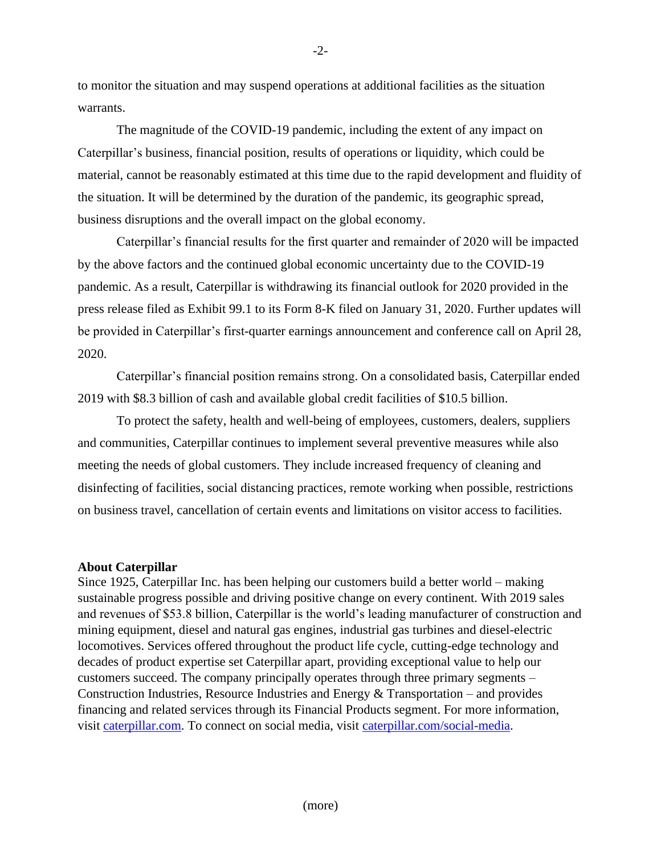to monitor the situation and may suspend operations at additional facilities as the situation warrants.

The magnitude of the COVID-19 pandemic, including the extent of any impact on Caterpillar's business, financial position, results of operations or liquidity, which could be material, cannot be reasonably estimated at this time due to the rapid development and fluidity of the situation. It will be determined by the duration of the pandemic, its geographic spread, business disruptions and the overall impact on the global economy.

Caterpillar's financial results for the first quarter and remainder of 2020 will be impacted by the above factors and the continued global economic uncertainty due to the COVID-19 pandemic. As a result, Caterpillar is withdrawing its financial outlook for 2020 provided in the press release filed as Exhibit 99.1 to its Form 8-K filed on January 31, 2020. Further updates will be provided in Caterpillar's first-quarter earnings announcement and conference call on April 28, 2020.

Caterpillar's financial position remains strong. On a consolidated basis, Caterpillar ended 2019 with \$8.3 billion of cash and available global credit facilities of \$10.5 billion.

To protect the safety, health and well-being of employees, customers, dealers, suppliers and communities, Caterpillar continues to implement several preventive measures while also meeting the needs of global customers. They include increased frequency of cleaning and disinfecting of facilities, social distancing practices, remote working when possible, restrictions on business travel, cancellation of certain events and limitations on visitor access to facilities.

### **About Caterpillar**

Since 1925, Caterpillar Inc. has been helping our customers build a better world – making sustainable progress possible and driving positive change on every continent. With 2019 sales and revenues of \$53.8 billion, Caterpillar is the world's leading manufacturer of construction and mining equipment, diesel and natural gas engines, industrial gas turbines and diesel-electric locomotives. Services offered throughout the product life cycle, cutting-edge technology and decades of product expertise set Caterpillar apart, providing exceptional value to help our customers succeed. The company principally operates through three primary segments – Construction Industries, Resource Industries and Energy  $&$  Transportation – and provides financing and related services through its Financial Products segment. For more information, visit caterpillar.com. To connect on social media, visit caterpillar.com/social-media.